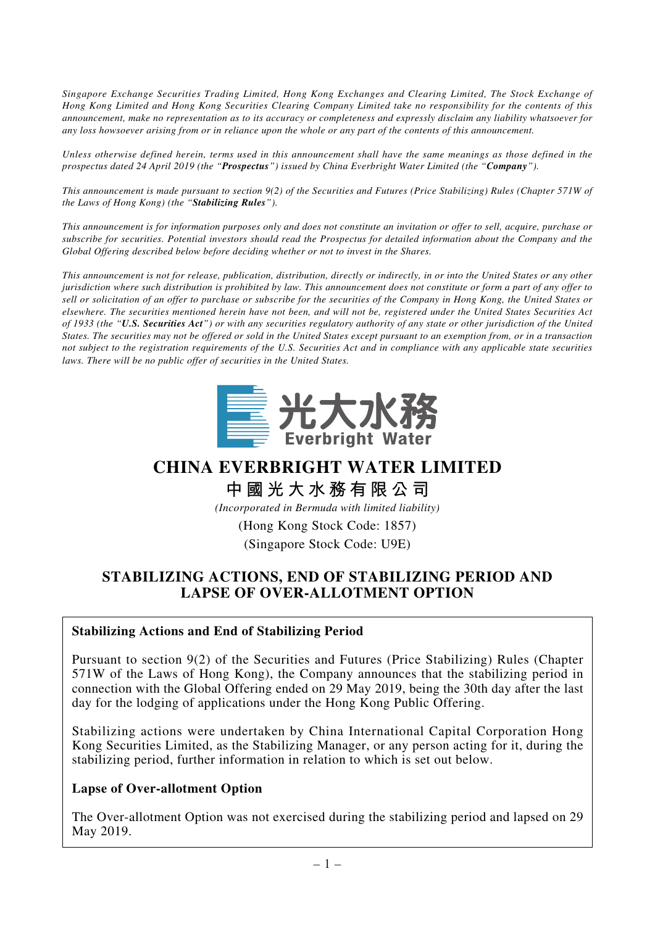*Singapore Exchange Securities Trading Limited, Hong Kong Exchanges and Clearing Limited, The Stock Exchange of Hong Kong Limited and Hong Kong Securities Clearing Company Limited take no responsibility for the contents of this announcement, make no representation as to its accuracy or completeness and expressly disclaim any liability whatsoever for any loss howsoever arising from or in reliance upon the whole or any part of the contents of this announcement.*

*Unless otherwise defined herein, terms used in this announcement shall have the same meanings as those defined in the prospectus dated 24 April 2019 (the "Prospectus") issued by China Everbright Water Limited (the "Company").*

*This announcement is made pursuant to section 9(2) of the Securities and Futures (Price Stabilizing) Rules (Chapter 571W of the Laws of Hong Kong) (the "Stabilizing Rules").*

*This announcement is for information purposes only and does not constitute an invitation or offer to sell, acquire, purchase or subscribe for securities. Potential investors should read the Prospectus for detailed information about the Company and the Global Offering described below before deciding whether or not to invest in the Shares.*

*This announcement is not for release, publication, distribution, directly or indirectly, in or into the United States or any other jurisdiction where such distribution is prohibited by law. This announcement does not constitute or form a part of any offer to sell or solicitation of an offer to purchase or subscribe for the securities of the Company in Hong Kong, the United States or elsewhere. The securities mentioned herein have not been, and will not be, registered under the United States Securities Act of 1933 (the "U.S. Securities Act") or with any securities regulatory authority of any state or other jurisdiction of the United States. The securities may not be offered or sold in the United States except pursuant to an exemption from, or in a transaction not subject to the registration requirements of the U.S. Securities Act and in compliance with any applicable state securities laws. There will be no public offer of securities in the United States.*



## **CHINA EVERBRIGHT WATER LIMITED**

# **中國光大水務有限公司**

*(Incorporated in Bermuda with limited liability)*

(Hong Kong Stock Code: 1857) (Singapore Stock Code: U9E)

## **STABILIZING ACTIONS, END OF STABILIZING PERIOD AND LAPSE OF OVER-ALLOTMENT OPTION**

#### **Stabilizing Actions and End of Stabilizing Period**

Pursuant to section 9(2) of the Securities and Futures (Price Stabilizing) Rules (Chapter 571W of the Laws of Hong Kong), the Company announces that the stabilizing period in connection with the Global Offering ended on 29 May 2019, being the 30th day after the last day for the lodging of applications under the Hong Kong Public Offering.

Stabilizing actions were undertaken by China International Capital Corporation Hong Kong Securities Limited, as the Stabilizing Manager, or any person acting for it, during the stabilizing period, further information in relation to which is set out below.

#### **Lapse of Over-allotment Option**

The Over-allotment Option was not exercised during the stabilizing period and lapsed on 29 May 2019.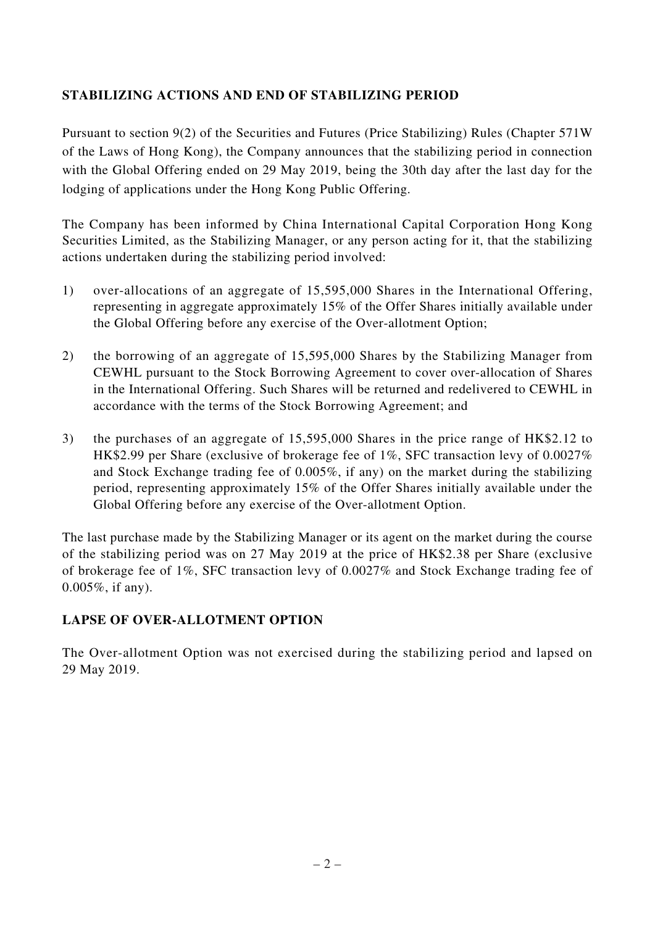## **STABILIZING ACTIONS AND END OF STABILIZING PERIOD**

Pursuant to section 9(2) of the Securities and Futures (Price Stabilizing) Rules (Chapter 571W of the Laws of Hong Kong), the Company announces that the stabilizing period in connection with the Global Offering ended on 29 May 2019, being the 30th day after the last day for the lodging of applications under the Hong Kong Public Offering.

The Company has been informed by China International Capital Corporation Hong Kong Securities Limited, as the Stabilizing Manager, or any person acting for it, that the stabilizing actions undertaken during the stabilizing period involved:

- 1) over-allocations of an aggregate of 15,595,000 Shares in the International Offering, representing in aggregate approximately 15% of the Offer Shares initially available under the Global Offering before any exercise of the Over-allotment Option;
- 2) the borrowing of an aggregate of 15,595,000 Shares by the Stabilizing Manager from CEWHL pursuant to the Stock Borrowing Agreement to cover over-allocation of Shares in the International Offering. Such Shares will be returned and redelivered to CEWHL in accordance with the terms of the Stock Borrowing Agreement; and
- 3) the purchases of an aggregate of 15,595,000 Shares in the price range of HK\$2.12 to HK\$2.99 per Share (exclusive of brokerage fee of 1%, SFC transaction levy of 0.0027% and Stock Exchange trading fee of 0.005%, if any) on the market during the stabilizing period, representing approximately 15% of the Offer Shares initially available under the Global Offering before any exercise of the Over-allotment Option.

The last purchase made by the Stabilizing Manager or its agent on the market during the course of the stabilizing period was on 27 May 2019 at the price of HK\$2.38 per Share (exclusive of brokerage fee of 1%, SFC transaction levy of 0.0027% and Stock Exchange trading fee of 0.005%, if any).

### **LAPSE OF OVER-ALLOTMENT OPTION**

The Over-allotment Option was not exercised during the stabilizing period and lapsed on 29 May 2019.